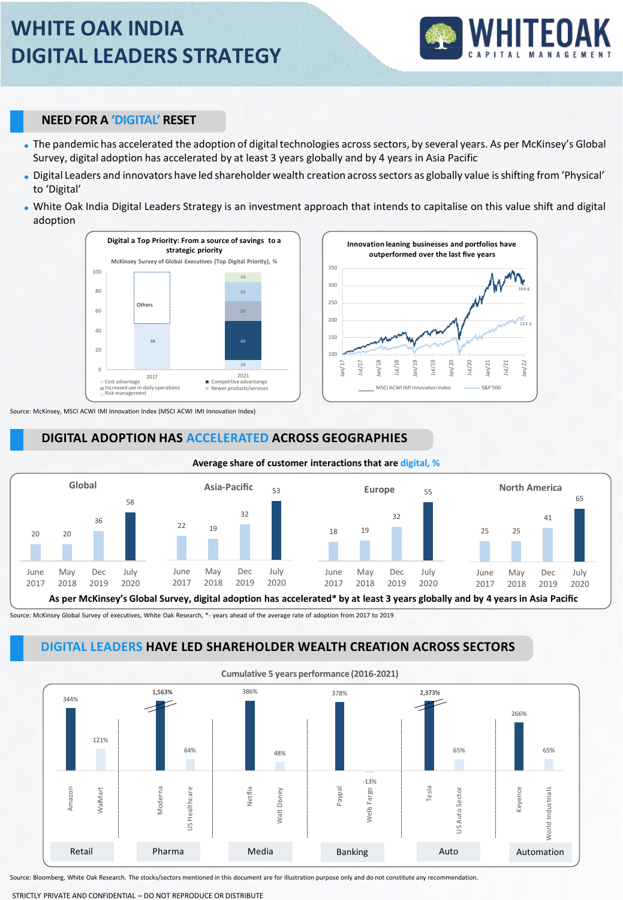

## **NEED FOR A 'DIGITAL' RESET**

- The pandemic has accelerated the adoption of digitaltechnologies across sectors, by several years. As per McKinsey's Global Survey, digital adoption has accelerated by at least 3 years globally and by 4 years in Asia Pacific
- Digital Leaders and innovators have led shareholder wealth creation acrosssectors as globally value isshifting from 'Physical' to 'Digital'
- White Oak India Digital Leaders Strategy is an investment approach that intends to capitalise on this value shift and digital adoption





Source: McKinsey, MSCI ACWI IMI Innovation Index (MSCI ACWI IMI Innovation Index)

# **DIGITAL ADOPTION HAS ACCELERATED ACROSS GEOGRAPHIES**



Source: McKinsey Global Survey of executives, White Oak Research, \*- years ahead of the average rate of adoption from 2017 to 2019

# **DIGITAL LEADERS HAVE LED SHAREHOLDER WEALTH CREATION ACROSS SECTORS**



Source: Bloomberg, White Oak Research. The stocks/sectors mentioned in this document are for illustration purpose only and do not constitute any recommendation.

STRICTLY PRIVATE AND CONFIDENTIAL – DO NOT REPRODUCE OR DISTRIBUTE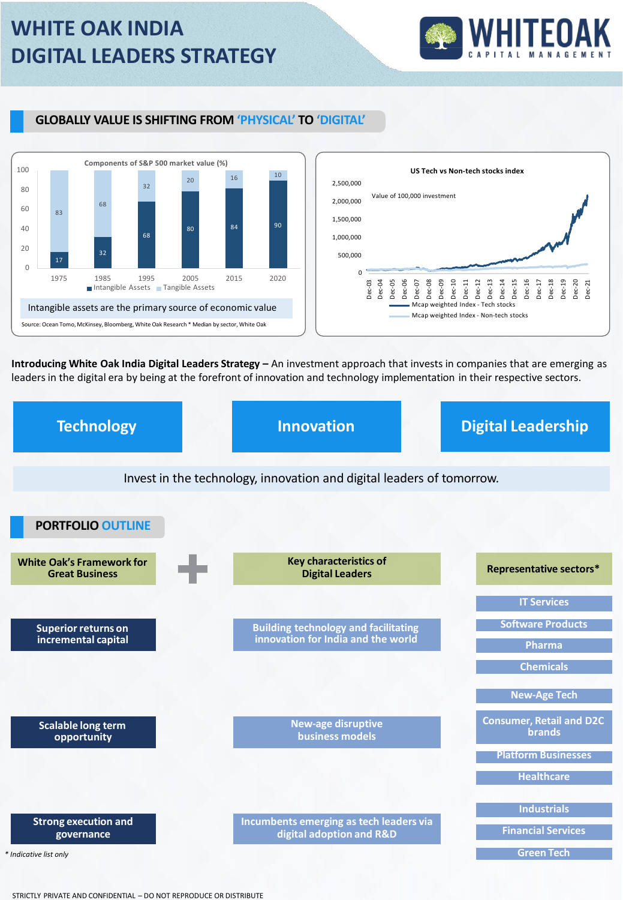

# **GLOBALLY VALUE IS SHIFTING FROM 'PHYSICAL' TO 'DIGITAL'**





**Introducing White Oak India Digital Leaders Strategy –** An investment approach that invests in companies that are emerging as leaders in the digital era by being at the forefront of innovation and technology implementation in their respective sectors.

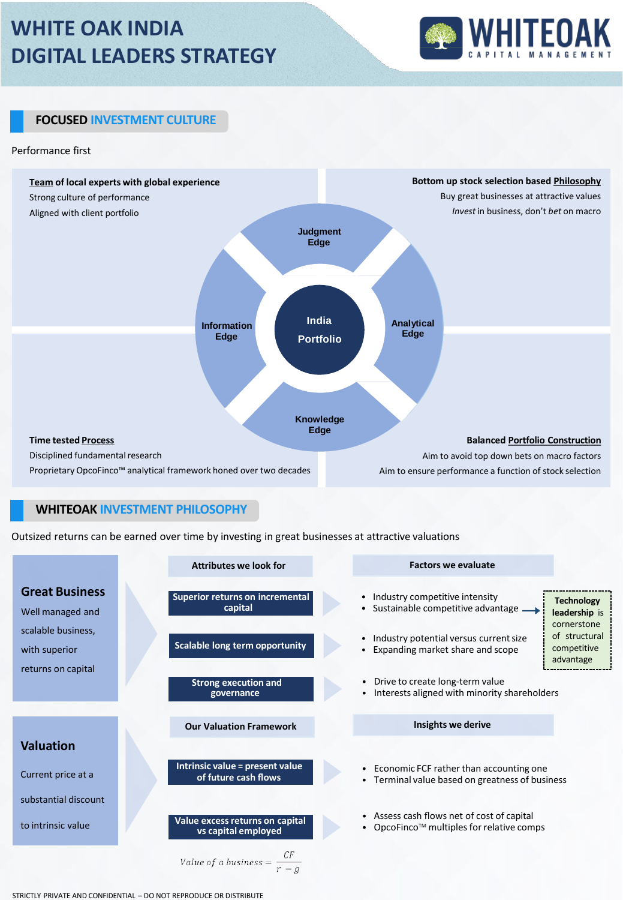# **WHITE OAK INDIA DIGITAL LEADERS STRATEGY**



# **FOCUSED INVESTMENT CULTURE**

#### Performance first



# **WHITEOAK INVESTMENT PHILOSOPHY**

Outsized returns can be earned over time by investing in great businesses at attractive valuations

|                                                                                                        | <b>Attributes we look for</b>                                                              | <b>Factors we evaluate</b>                                                                                                                                                                                                                                                           |  |
|--------------------------------------------------------------------------------------------------------|--------------------------------------------------------------------------------------------|--------------------------------------------------------------------------------------------------------------------------------------------------------------------------------------------------------------------------------------------------------------------------------------|--|
| <b>Great Business</b><br>Well managed and<br>scalable business,<br>with superior<br>returns on capital | <b>Superior returns on incremental</b><br>capital<br><b>Scalable long term opportunity</b> | Industry competitive intensity<br>$\bullet$<br><b>Technology</b><br>Sustainable competitive advantage -<br>٠<br>leadership is<br>cornerstone<br>of structural<br>Industry potential versus current size<br>$\bullet$<br>competitive<br>Expanding market share and scope<br>advantage |  |
|                                                                                                        | <b>Strong execution and</b><br>governance                                                  | Drive to create long-term value<br>Interests aligned with minority shareholders<br>$\bullet$                                                                                                                                                                                         |  |
|                                                                                                        | <b>Our Valuation Framework</b>                                                             | Insights we derive                                                                                                                                                                                                                                                                   |  |
| <b>Valuation</b>                                                                                       |                                                                                            |                                                                                                                                                                                                                                                                                      |  |
| Current price at a                                                                                     | Intrinsic value = present value                                                            | Economic FCF rather than accounting one<br>Terminal value based on greatness of business<br>٠                                                                                                                                                                                        |  |
|                                                                                                        | of future cash flows                                                                       |                                                                                                                                                                                                                                                                                      |  |
| substantial discount                                                                                   |                                                                                            |                                                                                                                                                                                                                                                                                      |  |
| to intrinsic value                                                                                     | Value excess returns on capital<br>vs capital employed                                     | Assess cash flows net of cost of capital<br>$\bullet$<br>OpcoFinco <sup>™</sup> multiples for relative comps<br>٠                                                                                                                                                                    |  |